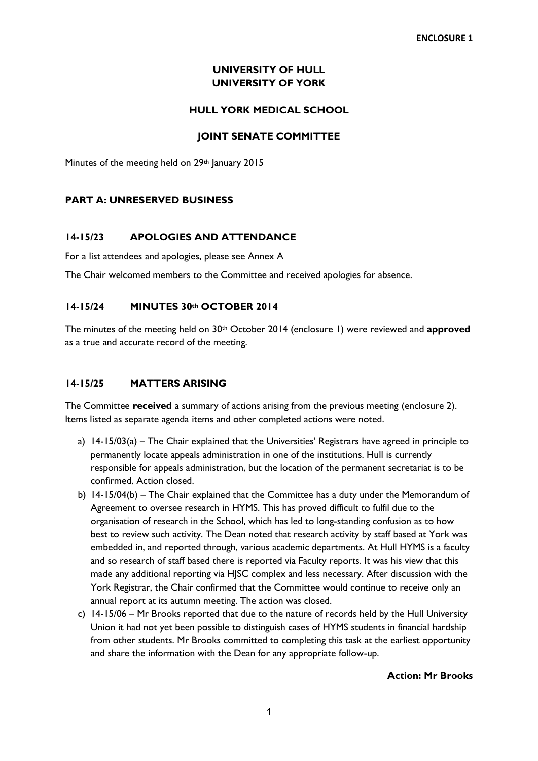## **UNIVERSITY OF HULL UNIVERSITY OF YORK**

### **HULL YORK MEDICAL SCHOOL**

### **JOINT SENATE COMMITTEE**

Minutes of the meeting held on 29<sup>th</sup> January 2015

### **PART A: UNRESERVED BUSINESS**

### **14-15/23 APOLOGIES AND ATTENDANCE**

For a list attendees and apologies, please see Annex A

The Chair welcomed members to the Committee and received apologies for absence.

### **14-15/24 MINUTES 30th OCTOBER 2014**

The minutes of the meeting held on 30th October 2014 (enclosure 1) were reviewed and **approved** as a true and accurate record of the meeting.

## **14-15/25 MATTERS ARISING**

The Committee **received** a summary of actions arising from the previous meeting (enclosure 2). Items listed as separate agenda items and other completed actions were noted.

- a) 14-15/03(a) The Chair explained that the Universities' Registrars have agreed in principle to permanently locate appeals administration in one of the institutions. Hull is currently responsible for appeals administration, but the location of the permanent secretariat is to be confirmed. Action closed.
- b) 14-15/04(b) The Chair explained that the Committee has a duty under the Memorandum of Agreement to oversee research in HYMS. This has proved difficult to fulfil due to the organisation of research in the School, which has led to long-standing confusion as to how best to review such activity. The Dean noted that research activity by staff based at York was embedded in, and reported through, various academic departments. At Hull HYMS is a faculty and so research of staff based there is reported via Faculty reports. It was his view that this made any additional reporting via HJSC complex and less necessary. After discussion with the York Registrar, the Chair confirmed that the Committee would continue to receive only an annual report at its autumn meeting. The action was closed.
- c) 14-15/06 Mr Brooks reported that due to the nature of records held by the Hull University Union it had not yet been possible to distinguish cases of HYMS students in financial hardship from other students. Mr Brooks committed to completing this task at the earliest opportunity and share the information with the Dean for any appropriate follow-up.

#### **Action: Mr Brooks**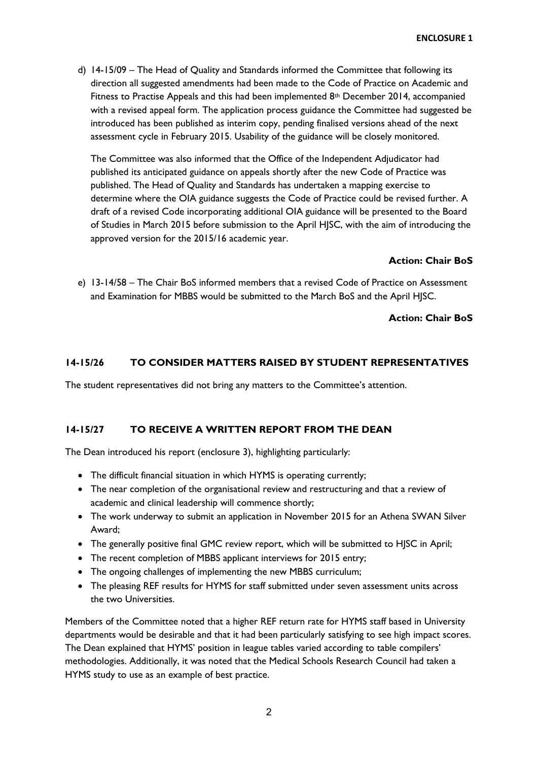d) 14-15/09 – The Head of Quality and Standards informed the Committee that following its direction all suggested amendments had been made to the Code of Practice on Academic and Fitness to Practise Appeals and this had been implemented 8th December 2014, accompanied with a revised appeal form. The application process guidance the Committee had suggested be introduced has been published as interim copy, pending finalised versions ahead of the next assessment cycle in February 2015. Usability of the guidance will be closely monitored.

The Committee was also informed that the Office of the Independent Adjudicator had published its anticipated guidance on appeals shortly after the new Code of Practice was published. The Head of Quality and Standards has undertaken a mapping exercise to determine where the OIA guidance suggests the Code of Practice could be revised further. A draft of a revised Code incorporating additional OIA guidance will be presented to the Board of Studies in March 2015 before submission to the April HJSC, with the aim of introducing the approved version for the 2015/16 academic year.

## **Action: Chair BoS**

e) 13-14/58 – The Chair BoS informed members that a revised Code of Practice on Assessment and Examination for MBBS would be submitted to the March BoS and the April HJSC.

## **Action: Chair BoS**

# **14-15/26 TO CONSIDER MATTERS RAISED BY STUDENT REPRESENTATIVES**

The student representatives did not bring any matters to the Committee's attention.

## **14-15/27 TO RECEIVE A WRITTEN REPORT FROM THE DEAN**

The Dean introduced his report (enclosure 3), highlighting particularly:

- The difficult financial situation in which HYMS is operating currently;
- The near completion of the organisational review and restructuring and that a review of academic and clinical leadership will commence shortly;
- The work underway to submit an application in November 2015 for an Athena SWAN Silver Award;
- The generally positive final GMC review report, which will be submitted to HJSC in April;
- The recent completion of MBBS applicant interviews for 2015 entry;
- The ongoing challenges of implementing the new MBBS curriculum;
- The pleasing REF results for HYMS for staff submitted under seven assessment units across the two Universities.

Members of the Committee noted that a higher REF return rate for HYMS staff based in University departments would be desirable and that it had been particularly satisfying to see high impact scores. The Dean explained that HYMS' position in league tables varied according to table compilers' methodologies. Additionally, it was noted that the Medical Schools Research Council had taken a HYMS study to use as an example of best practice.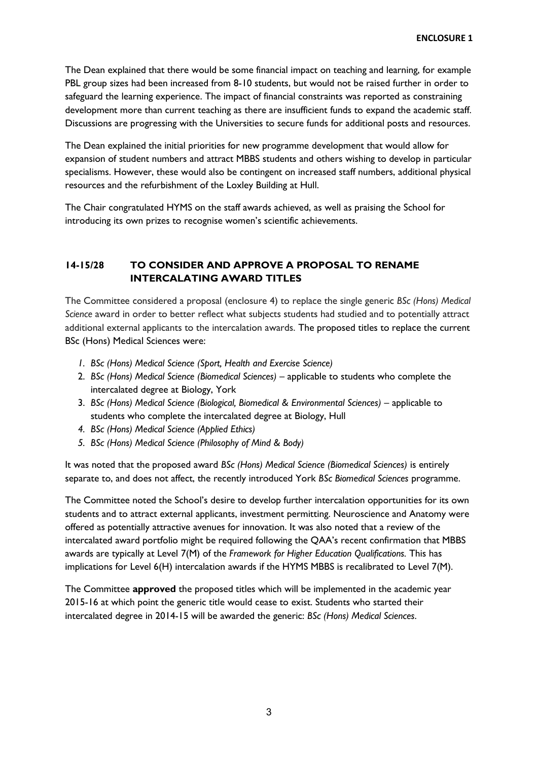The Dean explained that there would be some financial impact on teaching and learning, for example PBL group sizes had been increased from 8-10 students, but would not be raised further in order to safeguard the learning experience. The impact of financial constraints was reported as constraining development more than current teaching as there are insufficient funds to expand the academic staff. Discussions are progressing with the Universities to secure funds for additional posts and resources.

The Dean explained the initial priorities for new programme development that would allow for expansion of student numbers and attract MBBS students and others wishing to develop in particular specialisms. However, these would also be contingent on increased staff numbers, additional physical resources and the refurbishment of the Loxley Building at Hull.

The Chair congratulated HYMS on the staff awards achieved, as well as praising the School for introducing its own prizes to recognise women's scientific achievements.

# **14-15/28 TO CONSIDER AND APPROVE A PROPOSAL TO RENAME INTERCALATING AWARD TITLES**

The Committee considered a proposal (enclosure 4) to replace the single generic *BSc (Hons) Medical Science* award in order to better reflect what subjects students had studied and to potentially attract additional external applicants to the intercalation awards. The proposed titles to replace the current BSc (Hons) Medical Sciences were:

- *1. BSc (Hons) Medical Science (Sport, Health and Exercise Science)*
- 2. *BSc (Hons) Medical Science (Biomedical Sciences)* applicable to students who complete the intercalated degree at Biology, York
- 3. *BSc (Hons) Medical Science (Biological, Biomedical & Environmental Sciences)* applicable to students who complete the intercalated degree at Biology, Hull
- *4. BSc (Hons) Medical Science (Applied Ethics)*
- *5. BSc (Hons) Medical Science (Philosophy of Mind & Body)*

It was noted that the proposed award *BSc (Hons) Medical Science (Biomedical Sciences)* is entirely separate to, and does not affect, the recently introduced York *BSc Biomedical Sciences* programme.

The Committee noted the School's desire to develop further intercalation opportunities for its own students and to attract external applicants, investment permitting. Neuroscience and Anatomy were offered as potentially attractive avenues for innovation. It was also noted that a review of the intercalated award portfolio might be required following the QAA's recent confirmation that MBBS awards are typically at Level 7(M) of the *Framework for Higher Education Qualifications.* This has implications for Level 6(H) intercalation awards if the HYMS MBBS is recalibrated to Level 7(M).

The Committee **approved** the proposed titles which will be implemented in the academic year 2015-16 at which point the generic title would cease to exist. Students who started their intercalated degree in 2014-15 will be awarded the generic: *BSc (Hons) Medical Sciences*.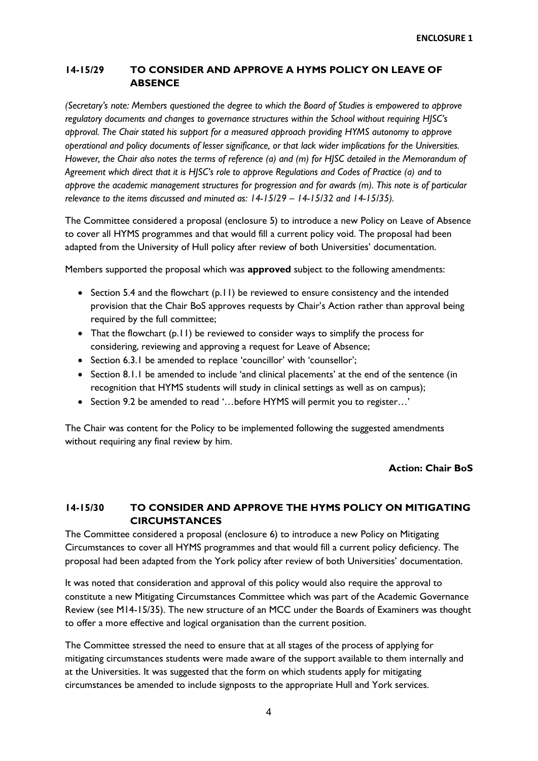## **14-15/29 TO CONSIDER AND APPROVE A HYMS POLICY ON LEAVE OF ABSENCE**

*(Secretary's note: Members questioned the degree to which the Board of Studies is empowered to approve regulatory documents and changes to governance structures within the School without requiring HJSC's approval. The Chair stated his support for a measured approach providing HYMS autonomy to approve operational and policy documents of lesser significance, or that lack wider implications for the Universities. However, the Chair also notes the terms of reference (a) and (m) for HJSC detailed in the Memorandum of Agreement which direct that it is HJSC's role to approve Regulations and Codes of Practice (a) and to approve the academic management structures for progression and for awards (m). This note is of particular relevance to the items discussed and minuted as: 14-15/29 – 14-15/32 and 14-15/35).* 

The Committee considered a proposal (enclosure 5) to introduce a new Policy on Leave of Absence to cover all HYMS programmes and that would fill a current policy void. The proposal had been adapted from the University of Hull policy after review of both Universities' documentation.

Members supported the proposal which was **approved** subject to the following amendments:

- Section 5.4 and the flowchart (p.11) be reviewed to ensure consistency and the intended provision that the Chair BoS approves requests by Chair's Action rather than approval being required by the full committee;
- That the flowchart (p.11) be reviewed to consider ways to simplify the process for considering, reviewing and approving a request for Leave of Absence;
- Section 6.3.1 be amended to replace 'councillor' with 'counsellor';
- Section 8.1.1 be amended to include 'and clinical placements' at the end of the sentence (in recognition that HYMS students will study in clinical settings as well as on campus);
- Section 9.2 be amended to read '...before HYMS will permit you to register...'

The Chair was content for the Policy to be implemented following the suggested amendments without requiring any final review by him.

#### **Action: Chair BoS**

## **14-15/30 TO CONSIDER AND APPROVE THE HYMS POLICY ON MITIGATING CIRCUMSTANCES**

The Committee considered a proposal (enclosure 6) to introduce a new Policy on Mitigating Circumstances to cover all HYMS programmes and that would fill a current policy deficiency. The proposal had been adapted from the York policy after review of both Universities' documentation.

It was noted that consideration and approval of this policy would also require the approval to constitute a new Mitigating Circumstances Committee which was part of the Academic Governance Review (see M14-15/35). The new structure of an MCC under the Boards of Examiners was thought to offer a more effective and logical organisation than the current position.

The Committee stressed the need to ensure that at all stages of the process of applying for mitigating circumstances students were made aware of the support available to them internally and at the Universities. It was suggested that the form on which students apply for mitigating circumstances be amended to include signposts to the appropriate Hull and York services.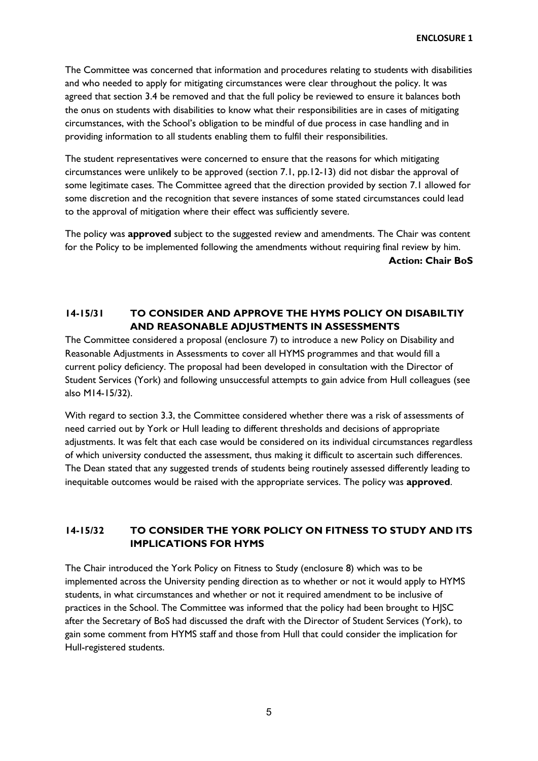The Committee was concerned that information and procedures relating to students with disabilities and who needed to apply for mitigating circumstances were clear throughout the policy. It was agreed that section 3.4 be removed and that the full policy be reviewed to ensure it balances both the onus on students with disabilities to know what their responsibilities are in cases of mitigating circumstances, with the School's obligation to be mindful of due process in case handling and in providing information to all students enabling them to fulfil their responsibilities.

The student representatives were concerned to ensure that the reasons for which mitigating circumstances were unlikely to be approved (section 7.1, pp.12-13) did not disbar the approval of some legitimate cases. The Committee agreed that the direction provided by section 7.1 allowed for some discretion and the recognition that severe instances of some stated circumstances could lead to the approval of mitigation where their effect was sufficiently severe.

The policy was **approved** subject to the suggested review and amendments. The Chair was content for the Policy to be implemented following the amendments without requiring final review by him. **Action: Chair BoS**

# **14-15/31 TO CONSIDER AND APPROVE THE HYMS POLICY ON DISABILTIY AND REASONABLE ADJUSTMENTS IN ASSESSMENTS**

The Committee considered a proposal (enclosure 7) to introduce a new Policy on Disability and Reasonable Adjustments in Assessments to cover all HYMS programmes and that would fill a current policy deficiency. The proposal had been developed in consultation with the Director of Student Services (York) and following unsuccessful attempts to gain advice from Hull colleagues (see also M14-15/32).

With regard to section 3.3, the Committee considered whether there was a risk of assessments of need carried out by York or Hull leading to different thresholds and decisions of appropriate adjustments. It was felt that each case would be considered on its individual circumstances regardless of which university conducted the assessment, thus making it difficult to ascertain such differences. The Dean stated that any suggested trends of students being routinely assessed differently leading to inequitable outcomes would be raised with the appropriate services. The policy was **approved**.

# **14-15/32 TO CONSIDER THE YORK POLICY ON FITNESS TO STUDY AND ITS IMPLICATIONS FOR HYMS**

The Chair introduced the York Policy on Fitness to Study (enclosure 8) which was to be implemented across the University pending direction as to whether or not it would apply to HYMS students, in what circumstances and whether or not it required amendment to be inclusive of practices in the School. The Committee was informed that the policy had been brought to HJSC after the Secretary of BoS had discussed the draft with the Director of Student Services (York), to gain some comment from HYMS staff and those from Hull that could consider the implication for Hull-registered students.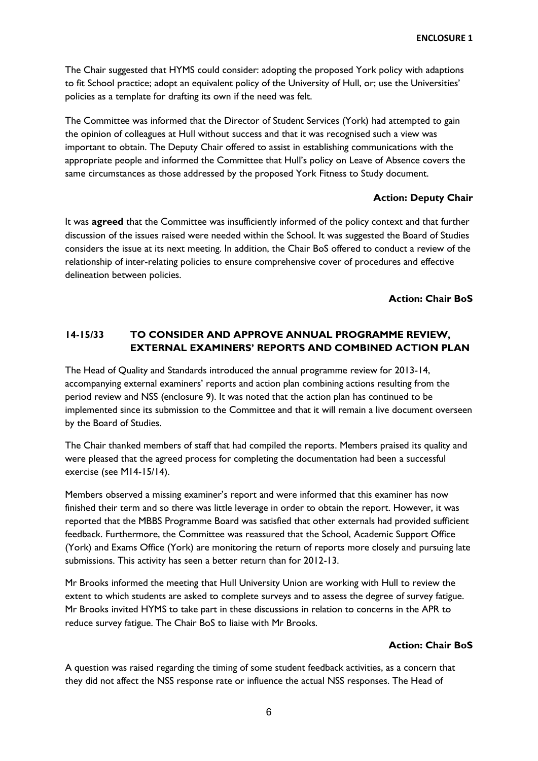The Chair suggested that HYMS could consider: adopting the proposed York policy with adaptions to fit School practice; adopt an equivalent policy of the University of Hull, or; use the Universities' policies as a template for drafting its own if the need was felt.

The Committee was informed that the Director of Student Services (York) had attempted to gain the opinion of colleagues at Hull without success and that it was recognised such a view was important to obtain. The Deputy Chair offered to assist in establishing communications with the appropriate people and informed the Committee that Hull's policy on Leave of Absence covers the same circumstances as those addressed by the proposed York Fitness to Study document.

### **Action: Deputy Chair**

It was **agreed** that the Committee was insufficiently informed of the policy context and that further discussion of the issues raised were needed within the School. It was suggested the Board of Studies considers the issue at its next meeting. In addition, the Chair BoS offered to conduct a review of the relationship of inter-relating policies to ensure comprehensive cover of procedures and effective delineation between policies.

### **Action: Chair BoS**

## **14-15/33 TO CONSIDER AND APPROVE ANNUAL PROGRAMME REVIEW, EXTERNAL EXAMINERS' REPORTS AND COMBINED ACTION PLAN**

The Head of Quality and Standards introduced the annual programme review for 2013-14, accompanying external examiners' reports and action plan combining actions resulting from the period review and NSS (enclosure 9). It was noted that the action plan has continued to be implemented since its submission to the Committee and that it will remain a live document overseen by the Board of Studies.

The Chair thanked members of staff that had compiled the reports. Members praised its quality and were pleased that the agreed process for completing the documentation had been a successful exercise (see M14-15/14).

Members observed a missing examiner's report and were informed that this examiner has now finished their term and so there was little leverage in order to obtain the report. However, it was reported that the MBBS Programme Board was satisfied that other externals had provided sufficient feedback. Furthermore, the Committee was reassured that the School, Academic Support Office (York) and Exams Office (York) are monitoring the return of reports more closely and pursuing late submissions. This activity has seen a better return than for 2012-13.

Mr Brooks informed the meeting that Hull University Union are working with Hull to review the extent to which students are asked to complete surveys and to assess the degree of survey fatigue. Mr Brooks invited HYMS to take part in these discussions in relation to concerns in the APR to reduce survey fatigue. The Chair BoS to liaise with Mr Brooks.

## **Action: Chair BoS**

A question was raised regarding the timing of some student feedback activities, as a concern that they did not affect the NSS response rate or influence the actual NSS responses. The Head of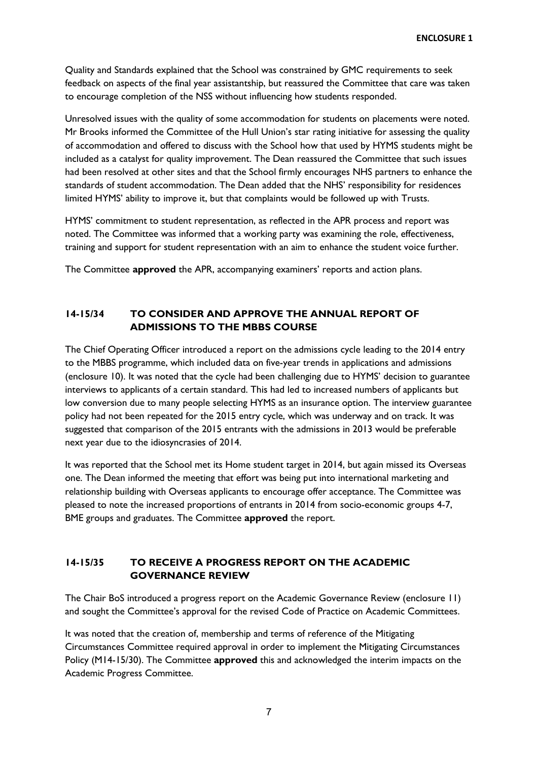Quality and Standards explained that the School was constrained by GMC requirements to seek feedback on aspects of the final year assistantship, but reassured the Committee that care was taken to encourage completion of the NSS without influencing how students responded.

Unresolved issues with the quality of some accommodation for students on placements were noted. Mr Brooks informed the Committee of the Hull Union's star rating initiative for assessing the quality of accommodation and offered to discuss with the School how that used by HYMS students might be included as a catalyst for quality improvement. The Dean reassured the Committee that such issues had been resolved at other sites and that the School firmly encourages NHS partners to enhance the standards of student accommodation. The Dean added that the NHS' responsibility for residences limited HYMS' ability to improve it, but that complaints would be followed up with Trusts.

HYMS' commitment to student representation, as reflected in the APR process and report was noted. The Committee was informed that a working party was examining the role, effectiveness, training and support for student representation with an aim to enhance the student voice further.

The Committee **approved** the APR, accompanying examiners' reports and action plans.

# **14-15/34 TO CONSIDER AND APPROVE THE ANNUAL REPORT OF ADMISSIONS TO THE MBBS COURSE**

The Chief Operating Officer introduced a report on the admissions cycle leading to the 2014 entry to the MBBS programme, which included data on five-year trends in applications and admissions (enclosure 10). It was noted that the cycle had been challenging due to HYMS' decision to guarantee interviews to applicants of a certain standard. This had led to increased numbers of applicants but low conversion due to many people selecting HYMS as an insurance option. The interview guarantee policy had not been repeated for the 2015 entry cycle, which was underway and on track. It was suggested that comparison of the 2015 entrants with the admissions in 2013 would be preferable next year due to the idiosyncrasies of 2014.

It was reported that the School met its Home student target in 2014, but again missed its Overseas one. The Dean informed the meeting that effort was being put into international marketing and relationship building with Overseas applicants to encourage offer acceptance. The Committee was pleased to note the increased proportions of entrants in 2014 from socio-economic groups 4-7, BME groups and graduates. The Committee **approved** the report.

# **14-15/35 TO RECEIVE A PROGRESS REPORT ON THE ACADEMIC GOVERNANCE REVIEW**

The Chair BoS introduced a progress report on the Academic Governance Review (enclosure 11) and sought the Committee's approval for the revised Code of Practice on Academic Committees.

It was noted that the creation of, membership and terms of reference of the Mitigating Circumstances Committee required approval in order to implement the Mitigating Circumstances Policy (M14-15/30). The Committee **approved** this and acknowledged the interim impacts on the Academic Progress Committee.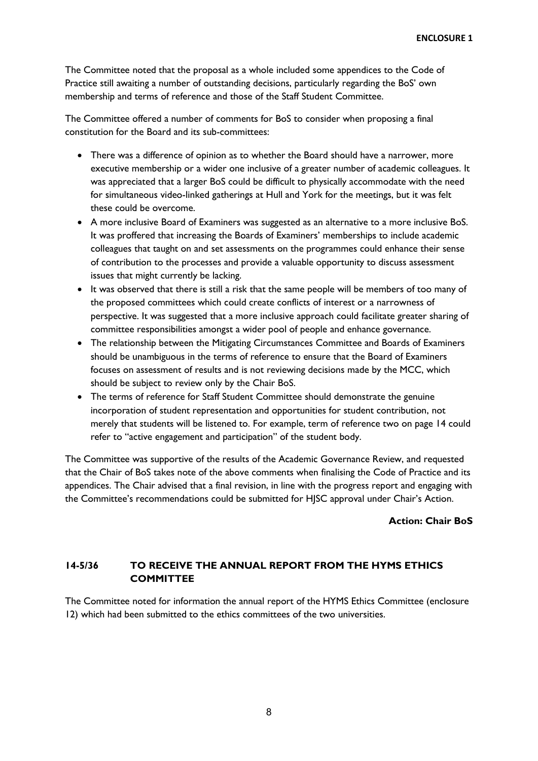The Committee noted that the proposal as a whole included some appendices to the Code of Practice still awaiting a number of outstanding decisions, particularly regarding the BoS' own membership and terms of reference and those of the Staff Student Committee.

The Committee offered a number of comments for BoS to consider when proposing a final constitution for the Board and its sub-committees:

- There was a difference of opinion as to whether the Board should have a narrower, more executive membership or a wider one inclusive of a greater number of academic colleagues. It was appreciated that a larger BoS could be difficult to physically accommodate with the need for simultaneous video-linked gatherings at Hull and York for the meetings, but it was felt these could be overcome.
- A more inclusive Board of Examiners was suggested as an alternative to a more inclusive BoS. It was proffered that increasing the Boards of Examiners' memberships to include academic colleagues that taught on and set assessments on the programmes could enhance their sense of contribution to the processes and provide a valuable opportunity to discuss assessment issues that might currently be lacking.
- It was observed that there is still a risk that the same people will be members of too many of the proposed committees which could create conflicts of interest or a narrowness of perspective. It was suggested that a more inclusive approach could facilitate greater sharing of committee responsibilities amongst a wider pool of people and enhance governance.
- The relationship between the Mitigating Circumstances Committee and Boards of Examiners should be unambiguous in the terms of reference to ensure that the Board of Examiners focuses on assessment of results and is not reviewing decisions made by the MCC, which should be subject to review only by the Chair BoS.
- The terms of reference for Staff Student Committee should demonstrate the genuine incorporation of student representation and opportunities for student contribution, not merely that students will be listened to. For example, term of reference two on page 14 could refer to "active engagement and participation" of the student body.

The Committee was supportive of the results of the Academic Governance Review, and requested that the Chair of BoS takes note of the above comments when finalising the Code of Practice and its appendices. The Chair advised that a final revision, in line with the progress report and engaging with the Committee's recommendations could be submitted for HJSC approval under Chair's Action.

#### **Action: Chair BoS**

## **14-5/36 TO RECEIVE THE ANNUAL REPORT FROM THE HYMS ETHICS COMMITTEE**

The Committee noted for information the annual report of the HYMS Ethics Committee (enclosure 12) which had been submitted to the ethics committees of the two universities.